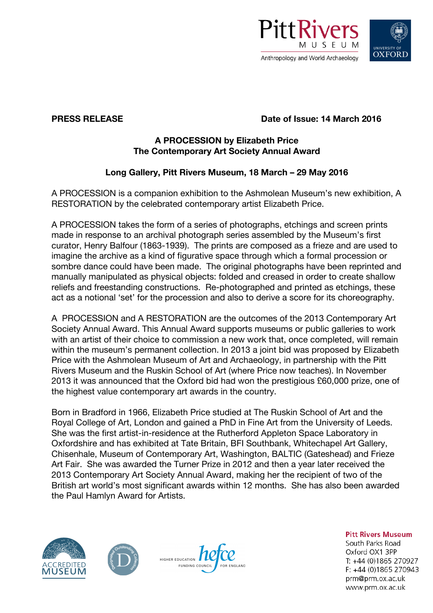



# **PRESS RELEASE Date of Issue: 14 March 2016**

#### **A PROCESSION by Elizabeth Price The Contemporary Art Society Annual Award**

## **Long Gallery, Pitt Rivers Museum, 18 March – 29 May 2016**

A PROCESSION is a companion exhibition to the Ashmolean Museum's new exhibition, A RESTORATION by the celebrated contemporary artist Elizabeth Price.

A PROCESSION takes the form of a series of photographs, etchings and screen prints made in response to an archival photograph series assembled by the Museum's first curator, Henry Balfour (1863-1939). The prints are composed as a frieze and are used to imagine the archive as a kind of figurative space through which a formal procession or sombre dance could have been made. The original photographs have been reprinted and manually manipulated as physical objects: folded and creased in order to create shallow reliefs and freestanding constructions. Re-photographed and printed as etchings, these act as a notional 'set' for the procession and also to derive a score for its choreography.

A PROCESSION and A RESTORATION are the outcomes of the 2013 Contemporary Art Society Annual Award. This Annual Award supports museums or public galleries to work with an artist of their choice to commission a new work that, once completed, will remain within the museum's permanent collection. In 2013 a joint bid was proposed by Elizabeth Price with the Ashmolean Museum of Art and Archaeology, in partnership with the Pitt Rivers Museum and the Ruskin School of Art (where Price now teaches). In November 2013 it was announced that the Oxford bid had won the prestigious £60,000 prize, one of the highest value contemporary art awards in the country.

Born in Bradford in 1966, Elizabeth Price studied at The Ruskin School of Art and the Royal College of Art, London and gained a PhD in Fine Art from the University of Leeds. She was the first artist-in-residence at the Rutherford Appleton Space Laboratory in Oxfordshire and has exhibited at Tate Britain, BFI Southbank, Whitechapel Art Gallery, Chisenhale, Museum of Contemporary Art, Washington, BALTIC (Gateshead) and Frieze Art Fair. She was awarded the Turner Prize in 2012 and then a year later received the 2013 Contemporary Art Society Annual Award, making her the recipient of two of the British art world's most significant awards within 12 months. She has also been awarded the Paul Hamlyn Award for Artists.







**Pitt Rivers Museum** 

South Parks Road Oxford OX1 3PP T: +44 (0)1865 270927 F: +44 (0)1865 270943 prm@prm.ox.ac.uk www.prm.ox.ac.uk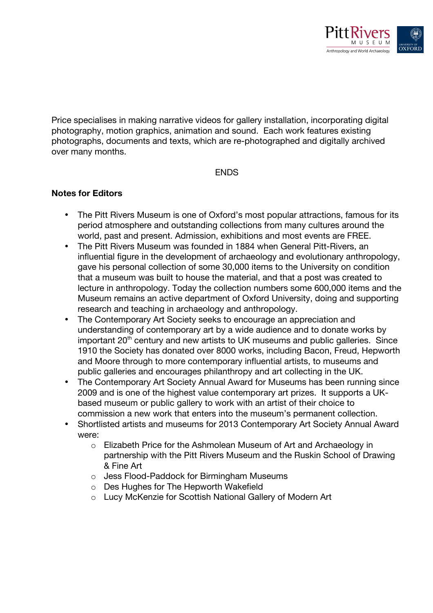

Price specialises in making narrative videos for gallery installation, incorporating digital photography, motion graphics, animation and sound. Each work features existing photographs, documents and texts, which are re-photographed and digitally archived over many months.

#### **ENDS**

#### **Notes for Editors**

- The Pitt Rivers Museum is one of Oxford's most popular attractions, famous for its period atmosphere and outstanding collections from many cultures around the world, past and present. Admission, exhibitions and most events are FREE.
- The Pitt Rivers Museum was founded in 1884 when General Pitt-Rivers, an influential figure in the development of archaeology and evolutionary anthropology, gave his personal collection of some 30,000 items to the University on condition that a museum was built to house the material, and that a post was created to lecture in anthropology. Today the collection numbers some 600,000 items and the Museum remains an active department of Oxford University, doing and supporting research and teaching in archaeology and anthropology.
- The Contemporary Art Society seeks to encourage an appreciation and understanding of contemporary art by a wide audience and to donate works by important 20<sup>th</sup> century and new artists to UK museums and public galleries. Since 1910 the Society has donated over 8000 works, including Bacon, Freud, Hepworth and Moore through to more contemporary influential artists, to museums and public galleries and encourages philanthropy and art collecting in the UK.
- The Contemporary Art Society Annual Award for Museums has been running since 2009 and is one of the highest value contemporary art prizes. It supports a UKbased museum or public gallery to work with an artist of their choice to commission a new work that enters into the museum's permanent collection.
- Shortlisted artists and museums for 2013 Contemporary Art Society Annual Award were:
	- o Elizabeth Price for the Ashmolean Museum of Art and Archaeology in partnership with the Pitt Rivers Museum and the Ruskin School of Drawing & Fine Art
	- o Jess Flood-Paddock for Birmingham Museums
	- o Des Hughes for The Hepworth Wakefield
	- o Lucy McKenzie for Scottish National Gallery of Modern Art